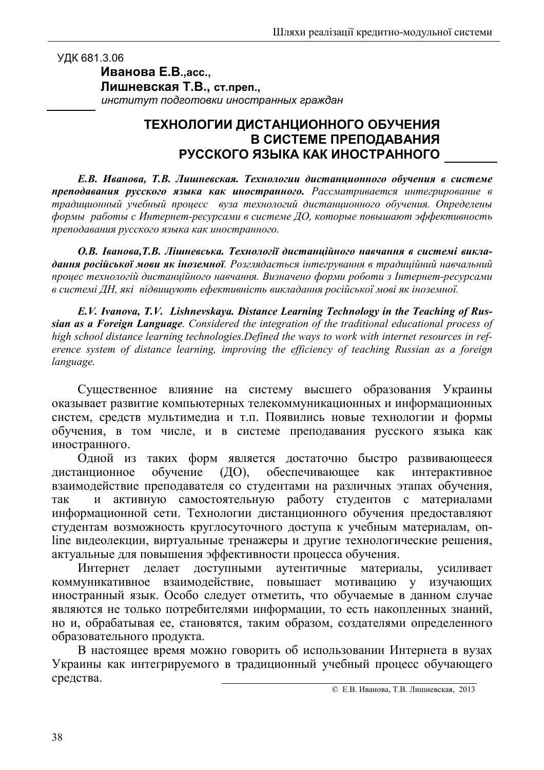## УДК 681.3.06

## Иванова Е.В., асс., Лишневская Т.В., ст.преп., институт подготовки иностранных граждан

## ТЕХНОЛОГИИ ДИСТАНЦИОННОГО ОБУЧЕНИЯ В СИСТЕМЕ ПРЕПОДАВАНИЯ РУССКОГО ЯЗЫКА КАК ИНОСТРАННОГО

Е.В. Иванова, Т.В. Лишневская. Технологии дистанционного обучения в системе преподавания русского языка как иностранного. Рассматривается интегрирование в традиционный учебный процесс вуза технологий дистанционного обучения. Определены формы работы с Интернет-ресурсами в системе ДО, которые повышают эффективность преподавания русского языка как иностранного.

О.В. Іванова, Т.В. Лішневська. Технології дистанційного навчання в системі викладання російської мови як іноземної. Розглядається інтегрування в традиційний навчальний процес технологій дистанційного навчання. Визначено форми роботи з Інтернет-ресурсами в системі ДН, які підвищують ефективність викладання російської мові як іноземної.

E.V. Ivanova, T.V. Lishnevskaya. Distance Learning Technology in the Teaching of Russian as a Foreign Language. Considered the integration of the traditional educational process of high school distance learning technologies. Defined the ways to work with internet resources in reference system of distance learning, improving the efficiency of teaching Russian as a foreign language.

Существенное влияние на систему высшего образования Украины оказывает развитие компьютерных телекоммуникационных и информационных систем, средств мультимедиа и т.п. Появились новые технологии и формы обучения, в том числе, и в системе преподавания русского языка как иностранного.

Одной из таких форм является достаточно быстро развивающееся обеспечивающее обучение  $(\text{IO})$ , как интерактивное дистанционное взаимодействие преподавателя со студентами на различных этапах обучения, и активную самостоятельную работу студентов с материалами так информационной сети. Технологии дистанционного обучения предоставляют студентам возможность круглосуточного доступа к учебным материалам, опline видеолекции, виртуальные тренажеры и другие технологические решения, актуальные для повышения эффективности процесса обучения.

ЛОСТVПНЫМИ аутентичные материалы. Интернет лелает усиливает взаимодействие, повышает мотивацию у изучающих коммуникативное иностранный язык. Особо следует отметить, что обучаемые в данном случае являются не только потребителями информации, то есть накопленных знаний, но и, обрабатывая ее, становятся, таким образом, создателями определенного образовательного продукта.

В настоящее время можно говорить об использовании Интернета в вузах Украины как интегрируемого в традиционный учебный процесс обучающего средства.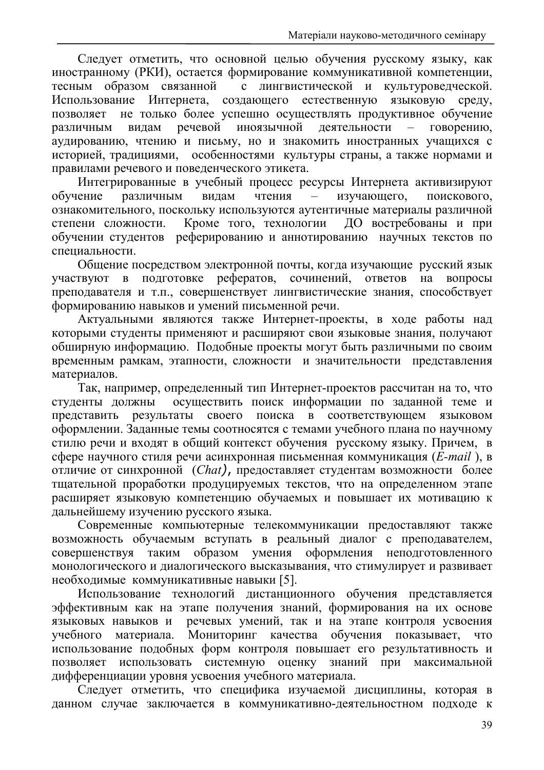Следует отметить, что основной целью обучения русскому языку, как иностранному (РКИ), остается формирование коммуникативной компетенции, тесным образом связанной с лингвистической и культуроведческой. Использование Интернета, создающего естественную языковую среду, не только более успешно осуществлять продуктивное обучение позволяет речевой иноязычной деятельности говорению. различным вилам аудированию, чтению и письму, но и знакомить иностранных учащихся с историей, традициями, особенностями культуры страны, а также нормами и правилами речевого и поведенческого этикета.

Интегрированные в учебный процесс ресурсы Интернета активизируют обучение различным вилам чтения изучающего, поискового.  $\equiv$ ознакомительного, поскольку используются аутентичные материалы различной Кроме того, технологии ДО востребованы и при степени сложности. обучении студентов реферированию и аннотированию научных текстов по специальности.

Общение посредством электронной почты, когда изучающие русский язык участвуют в подготовке рефератов, сочинений, ответов на вопросы преподавателя и т.п., совершенствует лингвистические знания, способствует формированию навыков и умений письменной речи.

Актуальными являются также Интернет-проекты, в ходе работы над которыми студенты применяют и расширяют свои языковые знания, получают обширную информацию. Подобные проекты могут быть различными по своим временным рамкам, этапности, сложности и значительности представления материалов.

Так, например, определенный тип Интернет-проектов рассчитан на то, что студенты должны осуществить поиск информации по заданной теме и представить результаты своего поиска в соответствующем языковом оформлении. Заданные темы соотносятся с темами учебного плана по научному стилю речи и входят в общий контекст обучения русскому языку. Причем, в сфере научного стиля речи асинхронная письменная коммуникация (*E-mail*), в отличие от синхронной (Chat), предоставляет студентам возможности более тщательной проработки продуцируемых текстов, что на определенном этапе расширяет языковую компетенцию обучаемых и повышает их мотивацию к дальнейшему изучению русского языка.

Современные компьютерные телекоммуникации предоставляют также возможность обучаемым вступать в реальный диалог с преподавателем, совершенствуя таким образом умения оформления неподготовленного монологического и диалогического высказывания, что стимулирует и развивает необходимые коммуникативные навыки [5].

Использование технологий дистанционного обучения представляется эффективным как на этапе получения знаний, формирования на их основе речевых умений, так и на этапе контроля усвоения языковых навыков и учебного материала. Мониторинг качества обучения показывает, что использование подобных форм контроля повышает его результативность и позволяет использовать системную оценку знаний при максимальной дифференциации уровня усвоения учебного материала.

Следует отметить, что специфика изучаемой дисциплины, которая в данном случае заключается в коммуникативно-деятельностном подходе к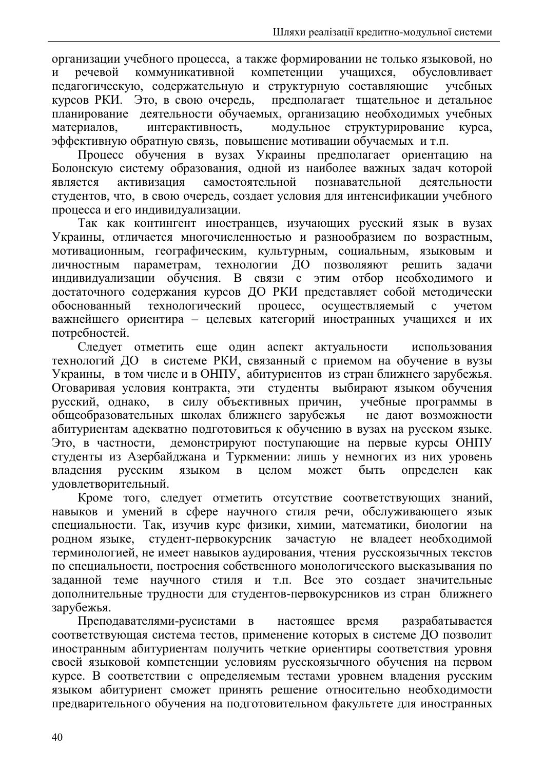организации учебного процесса, а также формировании не только языковой, но коммуникативной речевой компетенции учащихся, обусловливает  $\mathbf{M}$ педагогическую, содержательную и структурную составляющие учебных курсов РКИ. Это, в свою очередь, предполагает тщательное и детальное планирование деятельности обучаемых, организацию необходимых учебных материалов. интерактивность, модульное структурирование kvpca. эффективную обратную связь, повышение мотивации обучаемых и т.п.

Процесс обучения в вузах Украины предполагает ориентацию на Болонскую систему образования, одной из наиболее важных задач которой самостоятельной познавательной является активизация леятельности студентов, что, в свою очередь, создает условия для интенсификации учебного процесса и его индивидуализации.

Так как контингент иностранцев, изучающих русский язык в вузах Украины, отличается многочисленностью и разнообразием по возрастным, мотивационным, географическим, культурным, социальным, языковым и личностным параметрам, технологии ДО позволяяют решить задачи индивидуализации обучения. В связи с этим отбор необходимого и достаточного содержания курсов ДО РКИ представляет собой методически обоснованный технологический процесс, осуществляемый  $\mathbf{c}$ учетом важнейшего ориентира - целевых категорий иностранных учащихся и их потребностей.

Следует отметить еще один аспект актуальности использования технологий ДО в системе РКИ, связанный с приемом на обучение в вузы Украины, в том числе и в ОНПУ, абитуриентов из стран ближнего зарубежья. Оговаривая условия контракта, эти студенты выбирают языком обучения русский, однако, в силу объективных причин, учебные программы в общеобразовательных школах ближнего зарубежья не дают возможности абитуриентам адекватно подготовиться к обучению в вузах на русском языке. Это, в частности, демонстрируют поступающие на первые курсы ОНПУ студенты из Азербайджана и Туркмении: лишь у немногих из них уровень быть владения русским языком  $\overline{B}$ целом может определен как удовлетворительный.

Кроме того, следует отметить отсутствие соответствующих знаний, навыков и умений в сфере научного стиля речи, обслуживающего язык специальности. Так, изучив курс физики, химии, математики, биологии на родном языке, студент-первокурсник зачастую не владеет необходимой терминологией, не имеет навыков аудирования, чтения русскоязычных текстов по специальности, построения собственного монологического высказывания по заданной теме научного стиля и т.п. Все это создает значительные дополнительные трудности для студентов-первокурсников из стран ближнего зарубежья.

Преподавателями-русистами в настоящее время разрабатывается соответствующая система тестов, применение которых в системе ДО позволит иностранным абитуриентам получить четкие ориентиры соответствия уровня своей языковой компетенции условиям русскоязычного обучения на первом курсе. В соответствии с определяемым тестами уровнем владения русским языком абитуриент сможет принять решение относительно необходимости предварительного обучения на подготовительном факультете для иностранных